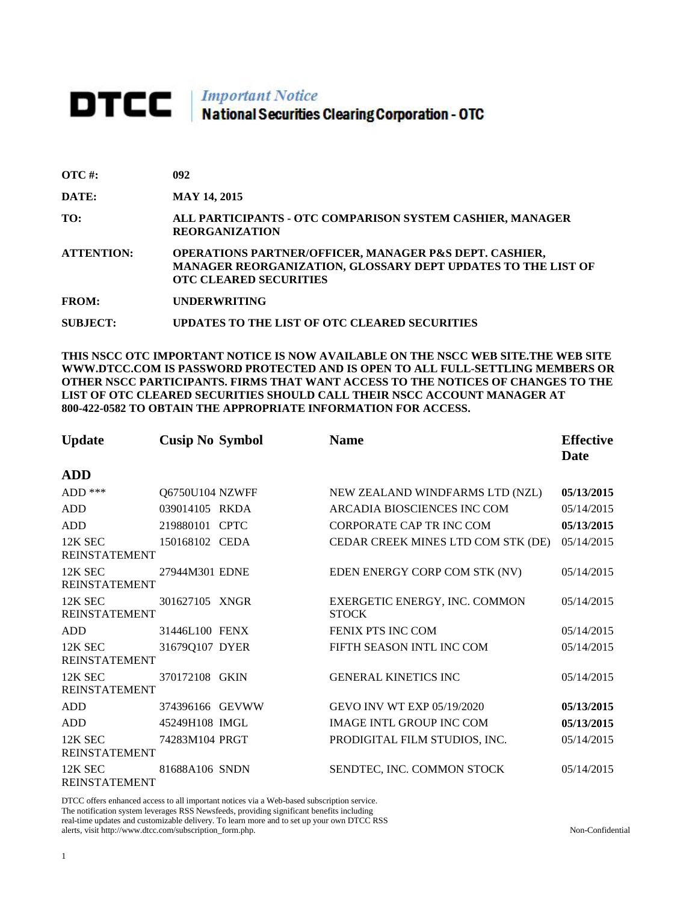# **DTCC** National Securities Clearing Corporation - OTC

| $\overline{\text{OTC}}$ #: | 092 |
|----------------------------|-----|
|                            |     |

**DATE: MAY 14, 2015**

**TO: ALL PARTICIPANTS - OTC COMPARISON SYSTEM CASHIER, MANAGER REORGANIZATION** 

**ATTENTION: OPERATIONS PARTNER/OFFICER, MANAGER P&S DEPT. CASHIER, MANAGER REORGANIZATION, GLOSSARY DEPT UPDATES TO THE LIST OF OTC CLEARED SECURITIES** 

**FROM: UNDERWRITING**

**SUBJECT: UPDATES TO THE LIST OF OTC CLEARED SECURITIES**

**THIS NSCC OTC IMPORTANT NOTICE IS NOW AVAILABLE ON THE NSCC WEB SITE.THE WEB SITE WWW.DTCC.COM IS PASSWORD PROTECTED AND IS OPEN TO ALL FULL-SETTLING MEMBERS OR OTHER NSCC PARTICIPANTS. FIRMS THAT WANT ACCESS TO THE NOTICES OF CHANGES TO THE LIST OF OTC CLEARED SECURITIES SHOULD CALL THEIR NSCC ACCOUNT MANAGER AT 800-422-0582 TO OBTAIN THE APPROPRIATE INFORMATION FOR ACCESS.** 

| <b>Update</b>                   | <b>Cusip No Symbol</b> | <b>Name</b>                                   | <b>Effective</b><br>Date |
|---------------------------------|------------------------|-----------------------------------------------|--------------------------|
| <b>ADD</b>                      |                        |                                               |                          |
| $ADD$ ***                       | Q6750U104 NZWFF        | NEW ZEALAND WINDFARMS LTD (NZL)               | 05/13/2015               |
| <b>ADD</b>                      | 039014105 RKDA         | ARCADIA BIOSCIENCES INC COM                   | 05/14/2015               |
| <b>ADD</b>                      | 219880101 CPTC         | <b>CORPORATE CAP TR INC COM</b>               | 05/13/2015               |
| 12K SEC<br><b>REINSTATEMENT</b> | 150168102 CEDA         | CEDAR CREEK MINES LTD COM STK (DE)            | 05/14/2015               |
| 12K SEC<br><b>REINSTATEMENT</b> | 27944M301 EDNE         | EDEN ENERGY CORP COM STK (NV)                 | 05/14/2015               |
| 12K SEC<br><b>REINSTATEMENT</b> | 301627105 XNGR         | EXERGETIC ENERGY, INC. COMMON<br><b>STOCK</b> | 05/14/2015               |
| <b>ADD</b>                      | 31446L100 FENX         | <b>FENIX PTS INC COM</b>                      | 05/14/2015               |
| 12K SEC<br><b>REINSTATEMENT</b> | 31679Q107 DYER         | FIFTH SEASON INTL INC COM                     | 05/14/2015               |
| 12K SEC<br><b>REINSTATEMENT</b> | 370172108 GKIN         | <b>GENERAL KINETICS INC</b>                   | 05/14/2015               |
| <b>ADD</b>                      | 374396166 GEVWW        | GEVO INV WT EXP 05/19/2020                    | 05/13/2015               |
| <b>ADD</b>                      | 45249H108 IMGL         | <b>IMAGE INTL GROUP INC COM</b>               | 05/13/2015               |
| 12K SEC<br><b>REINSTATEMENT</b> | 74283M104 PRGT         | PRODIGITAL FILM STUDIOS, INC.                 | 05/14/2015               |
| 12K SEC<br><b>REINSTATEMENT</b> | 81688A106 SNDN         | SENDTEC, INC. COMMON STOCK                    | 05/14/2015               |

DTCC offers enhanced access to all important notices via a Web-based subscription service. The notification system leverages RSS Newsfeeds, providing significant benefits including real-time updates and customizable delivery. To learn more and to set up your own DTCC RSS alerts, visit http://www.dtcc.com/subscription\_form.php. Non-Confidential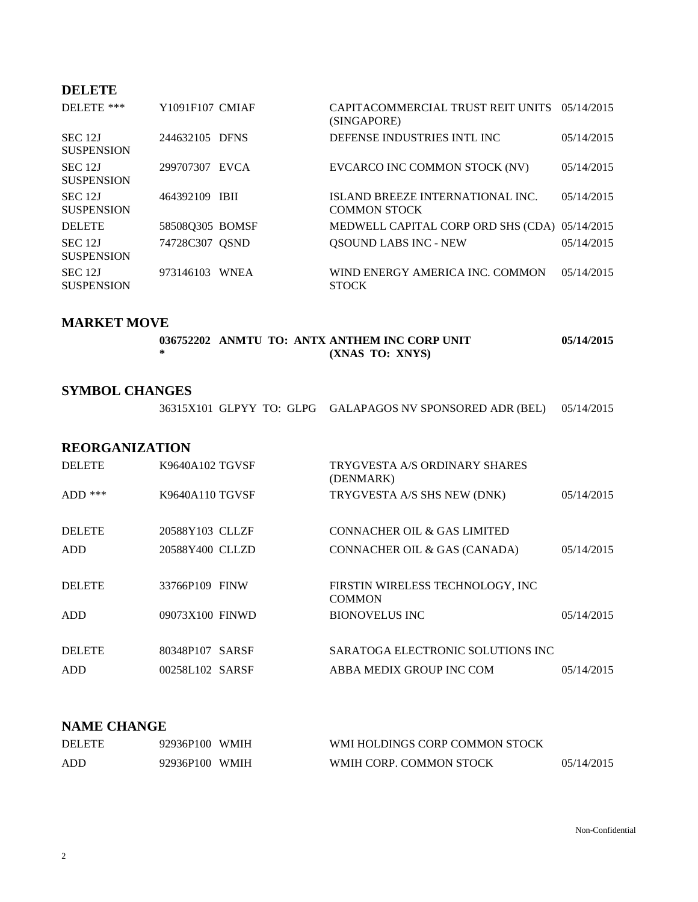## **DELETE**

| DELETE ***                          | Y1091F107 CMIAF | CAPITACOMMERCIAL TRUST REIT UNITS 05/14/2015<br>(SINGAPORE) |            |
|-------------------------------------|-----------------|-------------------------------------------------------------|------------|
| SEC 12J<br><b>SUSPENSION</b>        | 244632105 DFNS  | DEFENSE INDUSTRIES INTL INC                                 | 05/14/2015 |
| <b>SEC 12J</b><br><b>SUSPENSION</b> | 299707307 EVCA  | EVCARCO INC COMMON STOCK (NV)                               | 05/14/2015 |
| <b>SEC 12J</b><br><b>SUSPENSION</b> | 464392109 IBII  | ISLAND BREEZE INTERNATIONAL INC.<br><b>COMMON STOCK</b>     | 05/14/2015 |
| <b>DELETE</b>                       | 58508Q305 BOMSF | MEDWELL CAPITAL CORP ORD SHS (CDA) 05/14/2015               |            |
| <b>SEC 12J</b><br><b>SUSPENSION</b> | 74728C307 QSND  | <b>QSOUND LABS INC - NEW</b>                                | 05/14/2015 |
| <b>SEC 12J</b><br><b>SUSPENSION</b> | 973146103 WNEA  | WIND ENERGY AMERICA INC. COMMON<br><b>STOCK</b>             | 05/14/2015 |

### **MARKET MOVE**

| 036752202 ANMTU TO: ANTX ANTHEM INC CORP UNIT | 05/14/2015 |
|-----------------------------------------------|------------|
| (XNAS TO: XNYS)                               |            |

### **SYMBOL CHANGES**

|  | 36315X101 GLPYY TO: GLPG GALAPAGOS NV SPONSORED ADR (BEL) 05/14/2015 |  |
|--|----------------------------------------------------------------------|--|
|--|----------------------------------------------------------------------|--|

### **REORGANIZATION**

| <b>DELETE</b> | K9640A102 TGVSF | TRYGVESTA A/S ORDINARY SHARES<br>(DENMARK)         |            |
|---------------|-----------------|----------------------------------------------------|------------|
| $ADD$ ***     | K9640A110 TGVSF | TRYGVESTA A/S SHS NEW (DNK)                        | 05/14/2015 |
| <b>DELETE</b> | 20588Y103 CLLZF | CONNACHER OIL & GAS LIMITED                        |            |
| <b>ADD</b>    | 20588Y400 CLLZD | CONNACHER OIL & GAS (CANADA)                       | 05/14/2015 |
| <b>DELETE</b> | 33766P109 FINW  | FIRSTIN WIRELESS TECHNOLOGY, INC.<br><b>COMMON</b> |            |
| <b>ADD</b>    | 09073X100 FINWD | <b>BIONOVELUS INC.</b>                             | 05/14/2015 |
| <b>DELETE</b> | 80348P107 SARSF | SARATOGA ELECTRONIC SOLUTIONS INC                  |            |
| <b>ADD</b>    | 00258L102 SARSF | ABBA MEDIX GROUP INC COM                           | 05/14/2015 |

#### **NAME CHANGE**

| <b>DELETE</b> | 92936P100 WMIH | WMI HOLDINGS CORP COMMON STOCK |            |
|---------------|----------------|--------------------------------|------------|
| ADD           | 92936P100 WMIH | WMIH CORP. COMMON STOCK        | 05/14/2015 |